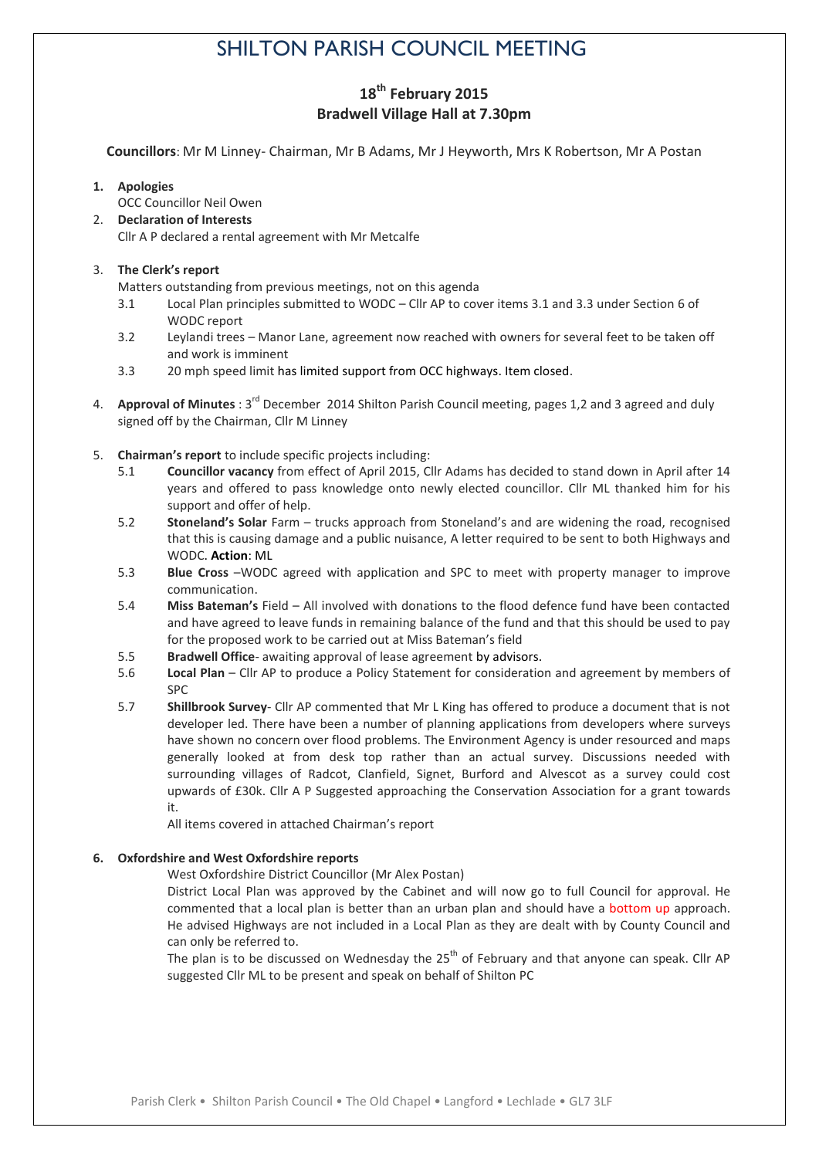# SHILTON PARISH COUNCIL MEETING

## **18th February 2015 Bradwell Village Hall at 7.30pm**

**Councillors**: Mr M Linney- Chairman, Mr B Adams, Mr J Heyworth, Mrs K Robertson, Mr A Postan

#### **1. Apologies**

OCC Councillor Neil Owen

2. **Declaration of Interests** Cllr A P declared a rental agreement with Mr Metcalfe

#### 3. **The Clerk's report**

Matters outstanding from previous meetings, not on this agenda

- 3.1 Local Plan principles submitted to WODC Cllr AP to cover items 3.1 and 3.3 under Section 6 of WODC report
- 3.2 Leylandi trees Manor Lane, agreement now reached with owners for several feet to be taken off and work is imminent
- 3.3 20 mph speed limit has limited support from OCC highways. Item closed.
- 4. **Approval of Minutes** : 3<sup>rd</sup> December 2014 Shilton Parish Council meeting, pages 1,2 and 3 agreed and duly signed off by the Chairman, Cllr M Linney
- 5. **Chairman's report** to include specific projects including:
	- 5.1 **Councillor vacancy** from effect of April 2015, Cllr Adams has decided to stand down in April after 14 years and offered to pass knowledge onto newly elected councillor. Cllr ML thanked him for his support and offer of help.
	- 5.2 **Stoneland's Solar** Farm trucks approach from Stoneland's and are widening the road, recognised that this is causing damage and a public nuisance, A letter required to be sent to both Highways and WODC. **Action**: ML
	- 5.3 **Blue Cross** –WODC agreed with application and SPC to meet with property manager to improve communication.
	- 5.4 **Miss Bateman's** Field All involved with donations to the flood defence fund have been contacted and have agreed to leave funds in remaining balance of the fund and that this should be used to pay for the proposed work to be carried out at Miss Bateman's field
	- 5.5 **Bradwell Office** awaiting approval of lease agreement by advisors.
	- 5.6 **Local Plan** Cllr AP to produce a Policy Statement for consideration and agreement by members of SPC
	- 5.7 **Shillbrook Survey** Cllr AP commented that Mr L King has offered to produce a document that is not developer led. There have been a number of planning applications from developers where surveys have shown no concern over flood problems. The Environment Agency is under resourced and maps generally looked at from desk top rather than an actual survey. Discussions needed with surrounding villages of Radcot, Clanfield, Signet, Burford and Alvescot as a survey could cost upwards of £30k. Cllr A P Suggested approaching the Conservation Association for a grant towards it.

All items covered in attached Chairman's report

#### **6. Oxfordshire and West Oxfordshire reports**

West Oxfordshire District Councillor (Mr Alex Postan)

District Local Plan was approved by the Cabinet and will now go to full Council for approval. He commented that a local plan is better than an urban plan and should have a bottom up approach. He advised Highways are not included in a Local Plan as they are dealt with by County Council and can only be referred to.

The plan is to be discussed on Wednesday the 25<sup>th</sup> of February and that anyone can speak. Cllr AP suggested Cllr ML to be present and speak on behalf of Shilton PC